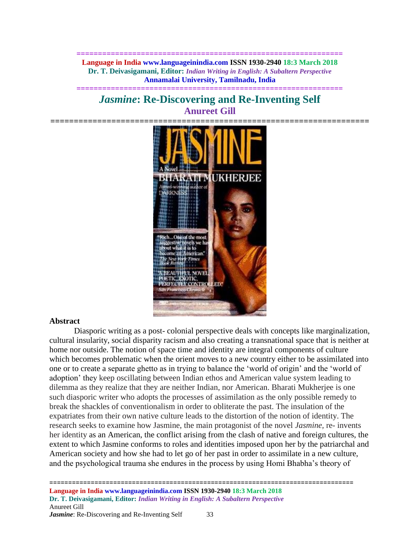**============================================================== Language in India www.languageinindia.com ISSN 1930-2940 18:3 March 2018 Dr. T. Deivasigamani, Editor:** *Indian Writing in English: A Subaltern Perspective* **Annamalai University, Tamilnadu, India**

# *Jasmine***: Re-Discovering and Re-Inventing Self Anureet Gill**

**==============================================================**



#### **Abstract**

Diasporic writing as a post- colonial perspective deals with concepts like marginalization, cultural insularity, social disparity racism and also creating a transnational space that is neither at home nor outside. The notion of space time and identity are integral components of culture which becomes problematic when the orient moves to a new country either to be assimilated into one or to create a separate ghetto as in trying to balance the 'world of origin' and the 'world of adoption' they keep oscillating between Indian ethos and American value system leading to dilemma as they realize that they are neither Indian, nor American. Bharati Mukherjee is one such diasporic writer who adopts the processes of assimilation as the only possible remedy to break the shackles of conventionalism in order to obliterate the past. The insulation of the expatriates from their own native culture leads to the distortion of the notion of identity. The research seeks to examine how Jasmine, the main protagonist of the novel *Jasmine,* re- invents her identity as an American, the conflict arising from the clash of native and foreign cultures, the extent to which Jasmine conforms to roles and identities imposed upon her by the patriarchal and American society and how she had to let go of her past in order to assimilate in a new culture, and the psychological trauma she endures in the process by using Homi Bhabha's theory of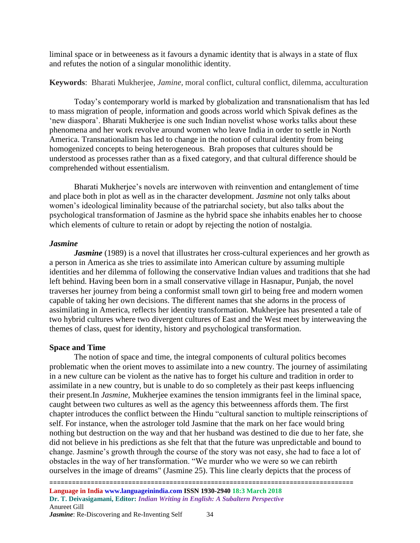liminal space or in betweeness as it favours a dynamic identity that is always in a state of flux and refutes the notion of a singular monolithic identity.

**Keywords**: Bharati Mukherjee, *Jamine,* moral conflict, cultural conflict, dilemma, acculturation

Today's contemporary world is marked by globalization and transnationalism that has led to mass migration of people, information and goods across world which Spivak defines as the 'new diaspora'. Bharati Mukherjee is one such Indian novelist whose works talks about these phenomena and her work revolve around women who leave India in order to settle in North America. Transnationalism has led to change in the notion of cultural identity from being homogenized concepts to being heterogeneous. Brah proposes that cultures should be understood as processes rather than as a fixed category, and that cultural difference should be comprehended without essentialism.

Bharati Mukherjee's novels are interwoven with reinvention and entanglement of time and place both in plot as well as in the character development. *Jasmine* not only talks about women's ideological liminality because of the patriarchal society, but also talks about the psychological transformation of Jasmine as the hybrid space she inhabits enables her to choose which elements of culture to retain or adopt by rejecting the notion of nostalgia.

# *Jasmine*

*Jasmine* (1989) is a novel that illustrates her cross-cultural experiences and her growth as a person in America as she tries to assimilate into American culture by assuming multiple identities and her dilemma of following the conservative Indian values and traditions that she had left behind. Having been born in a small conservative village in Hasnapur, Punjab, the novel traverses her journey from being a conformist small town girl to being free and modern women capable of taking her own decisions. The different names that she adorns in the process of assimilating in America, reflects her identity transformation. Mukherjee has presented a tale of two hybrid cultures where two divergent cultures of East and the West meet by interweaving the themes of class, quest for identity, history and psychological transformation.

# **Space and Time**

The notion of space and time, the integral components of cultural politics becomes problematic when the orient moves to assimilate into a new country. The journey of assimilating in a new culture can be violent as the native has to forget his culture and tradition in order to assimilate in a new country, but is unable to do so completely as their past keeps influencing their present.In *Jasmine,* Mukherjee examines the tension immigrants feel in the liminal space, caught between two cultures as well as the agency this betweenness affords them. The first chapter introduces the conflict between the Hindu "cultural sanction to multiple reinscriptions of self. For instance, when the astrologer told Jasmine that the mark on her face would bring nothing but destruction on the way and that her husband was destined to die due to her fate, she did not believe in his predictions as she felt that that the future was unpredictable and bound to change. Jasmine's growth through the course of the story was not easy, she had to face a lot of obstacles in the way of her transformation. "We murder who we were so we can rebirth ourselves in the image of dreams" (Jasmine 25). This line clearly depicts that the process of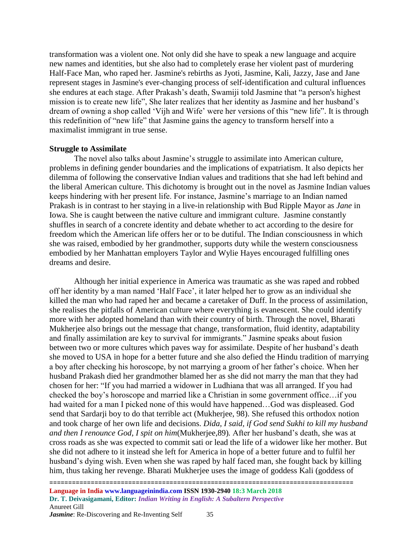transformation was a violent one. Not only did she have to speak a new language and acquire new names and identities, but she also had to completely erase her violent past of murdering Half-Face Man, who raped her. Jasmine's rebirths as Jyoti, Jasmine, Kali, Jazzy, Jase and Jane represent stages in Jasmine's ever-changing process of self-identification and cultural influences she endures at each stage. After Prakash's death, Swamiji told Jasmine that "a person's highest mission is to create new life", She later realizes that her identity as Jasmine and her husband's dream of owning a shop called 'Vijh and Wife' were her versions of this "new life". It is through this redefinition of "new life" that Jasmine gains the agency to transform herself into a maximalist immigrant in true sense.

#### **Struggle to Assimilate**

The novel also talks about Jasmine's struggle to assimilate into American culture, problems in defining gender boundaries and the implications of expatriatism. It also depicts her dilemma of following the conservative Indian values and traditions that she had left behind and the liberal American culture. This dichotomy is brought out in the novel as Jasmine Indian values keeps hindering with her present life. For instance, Jasmine's marriage to an Indian named Prakash is in contrast to her staying in a live-in relationship with Bud Ripple Mayor as *Jane* in Iowa. She is caught between the native culture and immigrant culture. Jasmine constantly shuffles in search of a concrete identity and debate whether to act according to the desire for freedom which the American life offers her or to be dutiful. The Indian consciousness in which she was raised, embodied by her grandmother, supports duty while the western consciousness embodied by her Manhattan employers Taylor and Wylie Hayes encouraged fulfilling ones dreams and desire.

Although her initial experience in America was traumatic as she was raped and robbed off her identity by a man named 'Half Face', it later helped her to grow as an individual she killed the man who had raped her and became a caretaker of Duff. In the process of assimilation, she realises the pitfalls of American culture where everything is evanescent. She could identify more with her adopted homeland than with their country of birth. Through the novel, Bharati Mukherjee also brings out the message that change, transformation, fluid identity, adaptability and finally assimilation are key to survival for immigrants." Jasmine speaks about fusion between two or more cultures which paves way for assimilate. Despite of her husband's death she moved to USA in hope for a better future and she also defied the Hindu tradition of marrying a boy after checking his horoscope, by not marrying a groom of her father's choice. When her husband Prakash died her grandmother blamed her as she did not marry the man that they had chosen for her: "If you had married a widower in Ludhiana that was all arranged. If you had checked the boy's horoscope and married like a Christian in some government office…if you had waited for a man I picked none of this would have happened…God was displeased. God send that Sardarji boy to do that terrible act (Mukherjee, 98). She refused this orthodox notion and took charge of her own life and decisions. *Dida, I said, if God send Sukhi to kill my husband and then I renounce God, I spit on him*(Mukherjee,89)*.* After her husband's death, she was at cross roads as she was expected to commit sati or lead the life of a widower like her mother. But she did not adhere to it instead she left for America in hope of a better future and to fulfil her husband's dying wish. Even when she was raped by half faced man, she fought back by killing him, thus taking her revenge. Bharati Mukherjee uses the image of goddess Kali (goddess of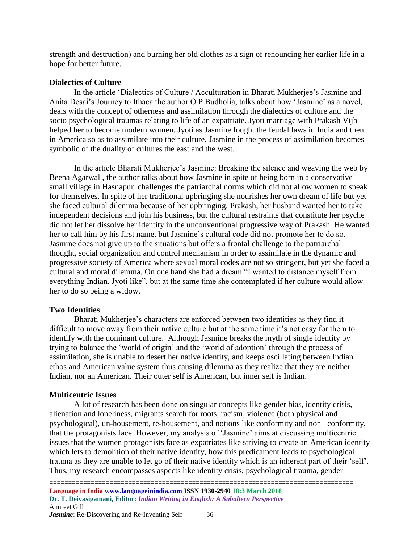strength and destruction) and burning her old clothes as a sign of renouncing her earlier life in a hope for better future.

### **Dialectics of Culture**

In the article 'Dialectics of Culture / Acculturation in Bharati Mukherjee's Jasmine and Anita Desai's Journey to Ithaca the author O.P Budholia, talks about how 'Jasmine' as a novel, deals with the concept of otherness and assimilation through the dialectics of culture and the socio psychological traumas relating to life of an expatriate. Jyoti marriage with Prakash Vijh helped her to become modern women. Jyoti as Jasmine fought the feudal laws in India and then in America so as to assimilate into their culture. Jasmine in the process of assimilation becomes symbolic of the duality of cultures the east and the west.

In the article Bharati Mukherjee's Jasmine: Breaking the silence and weaving the web by Beena Agarwal , the author talks about how Jasmine in spite of being born in a conservative small village in Hasnapur challenges the patriarchal norms which did not allow women to speak for themselves. In spite of her traditional upbringing she nourishes her own dream of life but yet she faced cultural dilemma because of her upbringing. Prakash, her husband wanted her to take independent decisions and join his business, but the cultural restraints that constitute her psyche did not let her dissolve her identity in the unconventional progressive way of Prakash. He wanted her to call him by his first name, but Jasmine's cultural code did not promote her to do so. Jasmine does not give up to the situations but offers a frontal challenge to the patriarchal thought, social organization and control mechanism in order to assimilate in the dynamic and progressive society of America where sexual moral codes are not so stringent, but yet she faced a cultural and moral dilemma. On one hand she had a dream "I wanted to distance myself from everything Indian, Jyoti like", but at the same time she contemplated if her culture would allow her to do so being a widow.

# **Two Identities**

Bharati Mukherjee's characters are enforced between two identities as they find it difficult to move away from their native culture but at the same time it's not easy for them to identify with the dominant culture. Although Jasmine breaks the myth of single identity by trying to balance the 'world of origin' and the 'world of adoption' through the process of assimilation, she is unable to desert her native identity, and keeps oscillating between Indian ethos and American value system thus causing dilemma as they realize that they are neither Indian, nor an American. Their outer self is American, but inner self is Indian.

# **Multicentric Issues**

A lot of research has been done on singular concepts like gender bias, identity crisis, alienation and loneliness, migrants search for roots, racism, violence (both physical and psychological), un-housement, re-housement, and notions like conformity and non –conformity, that the protagonists face. However, my analysis of 'Jasmine' aims at discussing multicentric issues that the women protagonists face as expatriates like striving to create an American identity which lets to demolition of their native identity, how this predicament leads to psychological trauma as they are unable to let go of their native identity which is an inherent part of their 'self'. Thus, my research encompasses aspects like identity crisis, psychological trauma, gender